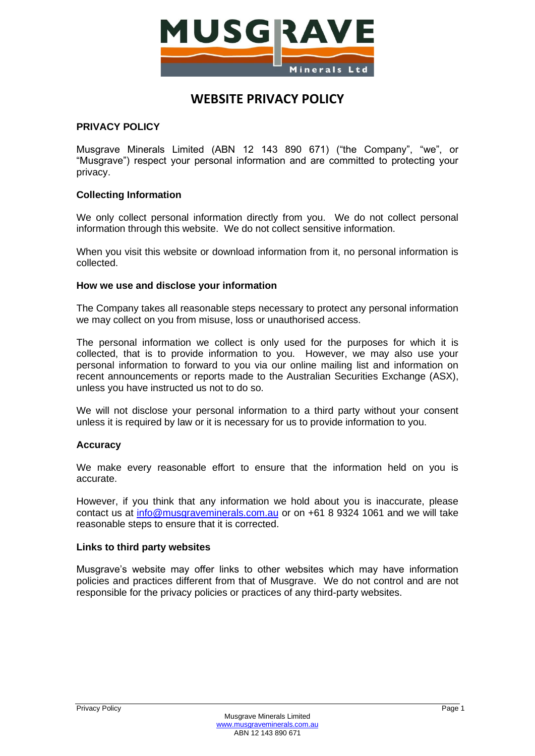

# **WEBSITE PRIVACY POLICY**

## **PRIVACY POLICY**

Musgrave Minerals Limited (ABN 12 143 890 671) ("the Company", "we", or "Musgrave") respect your personal information and are committed to protecting your privacy.

## **Collecting Information**

We only collect personal information directly from you. We do not collect personal information through this website. We do not collect sensitive information.

When you visit this website or download information from it, no personal information is collected.

#### **How we use and disclose your information**

The Company takes all reasonable steps necessary to protect any personal information we may collect on you from misuse, loss or unauthorised access.

The personal information we collect is only used for the purposes for which it is collected, that is to provide information to you. However, we may also use your personal information to forward to you via our online mailing list and information on recent announcements or reports made to the Australian Securities Exchange (ASX), unless you have instructed us not to do so.

We will not disclose your personal information to a third party without your consent unless it is required by law or it is necessary for us to provide information to you.

#### **Accuracy**

We make every reasonable effort to ensure that the information held on you is accurate.

However, if you think that any information we hold about you is inaccurate, please contact us at [info@musgraveminerals.com.au](mailto:info@musgraveminerals.com.au) or on +61 8 9324 1061 and we will take reasonable steps to ensure that it is corrected.

#### **Links to third party websites**

Musgrave's website may offer links to other websites which may have information policies and practices different from that of Musgrave. We do not control and are not responsible for the privacy policies or practices of any third-party websites.